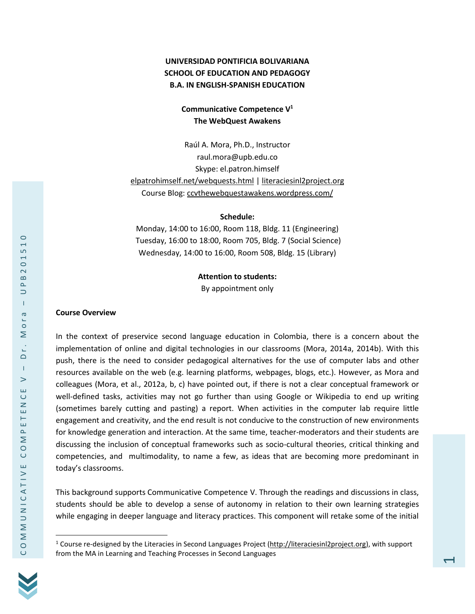# **UNIVERSIDAD PONTIFICIA BOLIVARIANA SCHOOL OF EDUCATION AND PEDAGOGY B.A. IN ENGLISH-SPANISH EDUCATION**

### **Communicative Competence V<sup>1</sup> The WebQuest Awakens**

Raúl A. Mora, Ph.D., Instructor raul.mora@upb.edu.co Skype: el.patron.himself <elpatrohimself.net/webquests.html> [| literaciesinl2project.org](literaciesinl2project.org) Course Blog: [ccvthewebquestawakens.wordpress.com/](https://ccvthewebquestawakens.wordpress.com/)

#### **Schedule:**

Monday, 14:00 to 16:00, Room 118, Bldg. 11 (Engineering) Tuesday, 16:00 to 18:00, Room 705, Bldg. 7 (Social Science) Wednesday, 14:00 to 16:00, Room 508, Bldg. 15 (Library)

#### **Attention to students:**

By appointment only

#### **Course Overview**

In the context of preservice second language education in Colombia, there is a concern about the implementation of online and digital technologies in our classrooms (Mora, 2014a, 2014b). With this push, there is the need to consider pedagogical alternatives for the use of computer labs and other resources available on the web (e.g. learning platforms, webpages, blogs, etc.). However, as Mora and colleagues (Mora, et al., 2012a, b, c) have pointed out, if there is not a clear conceptual framework or well-defined tasks, activities may not go further than using Google or Wikipedia to end up writing (sometimes barely cutting and pasting) a report. When activities in the computer lab require little engagement and creativity, and the end result is not conducive to the construction of new environments for knowledge generation and interaction. At the same time, teacher-moderators and their students are discussing the inclusion of conceptual frameworks such as socio-cultural theories, critical thinking and competencies, and multimodality, to name a few, as ideas that are becoming more predominant in today's classrooms.

This background supports Communicative Competence V. Through the readings and discussions in class, students should be able to develop a sense of autonomy in relation to their own learning strategies while engaging in deeper language and literacy practices. This component will retake some of the initial



<sup>&</sup>lt;sup>1</sup> Course re-designed by the Literacies in Second Languages Project [\(http://literaciesinl2project.org\)](http://literaciesinl2project.org/), with support from the MA in Learning and Teaching Processes in Second Languages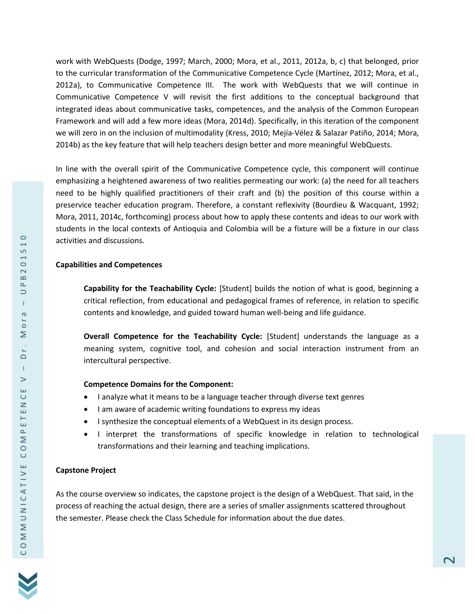work with WebQuests (Dodge, 1997; March, 2000; Mora, et al., 2011, 2012a, b, c) that belonged, prior to the curricular transformation of the Communicative Competence Cycle (Martínez, 2012; Mora, et al., 2012a), to Communicative Competence III. The work with WebQuests that we will continue in Communicative Competence V will revisit the first additions to the conceptual background that integrated ideas about communicative tasks, competences, and the analysis of the Common European Framework and will add a few more ideas (Mora, 2014d). Specifically, in this iteration of the component we will zero in on the inclusion of multimodality (Kress, 2010; Mejía-Vélez & Salazar Patiño, 2014; Mora, 2014b) as the key feature that will help teachers design better and more meaningful WebQuests.

In line with the overall spirit of the Communicative Competence cycle, this component will continue emphasizing a heightened awareness of two realities permeating our work: (a) the need for all teachers need to be highly qualified practitioners of their craft and (b) the position of this course within a preservice teacher education program. Therefore, a constant reflexivity (Bourdieu & Wacquant, 1992; Mora, 2011, 2014c, forthcoming) process about how to apply these contents and ideas to our work with students in the local contexts of Antioquia and Colombia will be a fixture will be a fixture in our class activities and discussions.

### **Capabilities and Competences**

**Capability for the Teachability Cycle:** [Student] builds the notion of what is good, beginning a critical reflection, from educational and pedagogical frames of reference, in relation to specific contents and knowledge, and guided toward human well-being and life guidance.

**Overall Competence for the Teachability Cycle:** [Student] understands the language as a meaning system, cognitive tool, and cohesion and social interaction instrument from an intercultural perspective.

#### **Competence Domains for the Component:**

- I analyze what it means to be a language teacher through diverse text genres
- I am aware of academic writing foundations to express my ideas
- I synthesize the conceptual elements of a WebQuest in its design process.
- I interpret the transformations of specific knowledge in relation to technological transformations and their learning and teaching implications.

### **Capstone Project**

As the course overview so indicates, the capstone project is the design of a WebQuest. That said, in the process of reaching the actual design, there are a series of smaller assignments scattered throughout the semester. Please check the Class Schedule for information about the due dates.

 $\circ$  $\overline{ }$ LŊ

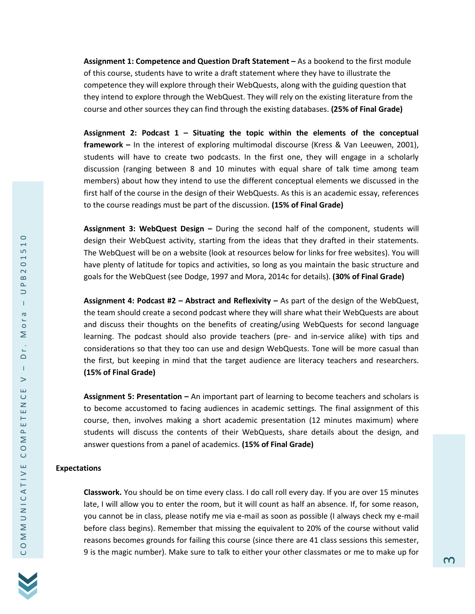**Assignment 1: Competence and Question Draft Statement –** As a bookend to the first module of this course, students have to write a draft statement where they have to illustrate the competence they will explore through their WebQuests, along with the guiding question that they intend to explore through the WebQuest. They will rely on the existing literature from the course and other sources they can find through the existing databases. **(25% of Final Grade)**

**Assignment 2: Podcast 1 – Situating the topic within the elements of the conceptual framework –** In the interest of exploring multimodal discourse (Kress & Van Leeuwen, 2001), students will have to create two podcasts. In the first one, they will engage in a scholarly discussion (ranging between 8 and 10 minutes with equal share of talk time among team members) about how they intend to use the different conceptual elements we discussed in the first half of the course in the design of their WebQuests. As this is an academic essay, references to the course readings must be part of the discussion. **(15% of Final Grade)**

**Assignment 3: WebQuest Design –** During the second half of the component, students will design their WebQuest activity, starting from the ideas that they drafted in their statements. The WebQuest will be on a website (look at resources below for links for free websites). You will have plenty of latitude for topics and activities, so long as you maintain the basic structure and goals for the WebQuest (see Dodge, 1997 and Mora, 2014c for details). **(30% of Final Grade)**

**Assignment 4: Podcast #2 – Abstract and Reflexivity –** As part of the design of the WebQuest, the team should create a second podcast where they will share what their WebQuests are about and discuss their thoughts on the benefits of creating/using WebQuests for second language learning. The podcast should also provide teachers (pre- and in-service alike) with tips and considerations so that they too can use and design WebQuests. Tone will be more casual than the first, but keeping in mind that the target audience are literacy teachers and researchers. **(15% of Final Grade)**

**Assignment 5: Presentation –** An important part of learning to become teachers and scholars is to become accustomed to facing audiences in academic settings. The final assignment of this course, then, involves making a short academic presentation (12 minutes maximum) where students will discuss the contents of their WebQuests, share details about the design, and answer questions from a panel of academics. **(15% of Final Grade)**

#### **Expectations**

**Classwork.** You should be on time every class. I do call roll every day. If you are over 15 minutes late, I will allow you to enter the room, but it will count as half an absence. If, for some reason, you cannot be in class, please notify me via e-mail as soon as possible (I always check my e-mail before class begins). Remember that missing the equivalent to 20% of the course without valid reasons becomes grounds for failing this course (since there are 41 class sessions this semester, 9 is the magic number). Make sure to talk to either your other classmates or me to make up for

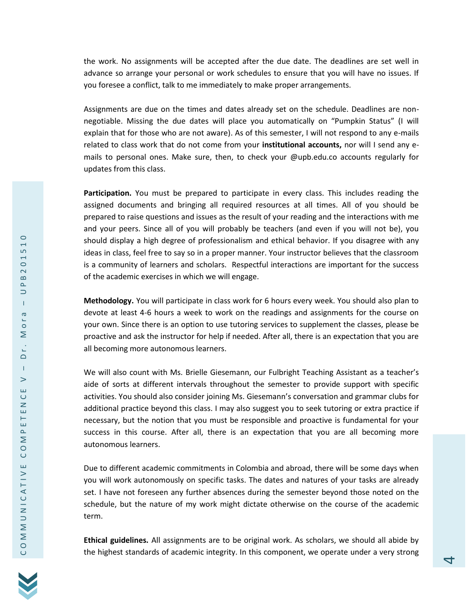the work. No assignments will be accepted after the due date. The deadlines are set well in advance so arrange your personal or work schedules to ensure that you will have no issues. If you foresee a conflict, talk to me immediately to make proper arrangements.

Assignments are due on the times and dates already set on the schedule. Deadlines are nonnegotiable. Missing the due dates will place you automatically on "Pumpkin Status" (I will explain that for those who are not aware). As of this semester, I will not respond to any e-mails related to class work that do not come from your **institutional accounts,** nor will I send any emails to personal ones. Make sure, then, to check your @upb.edu.co accounts regularly for updates from this class.

**Participation.** You must be prepared to participate in every class. This includes reading the assigned documents and bringing all required resources at all times. All of you should be prepared to raise questions and issues as the result of your reading and the interactions with me and your peers. Since all of you will probably be teachers (and even if you will not be), you should display a high degree of professionalism and ethical behavior. If you disagree with any ideas in class, feel free to say so in a proper manner. Your instructor believes that the classroom is a community of learners and scholars. Respectful interactions are important for the success of the academic exercises in which we will engage.

**Methodology.** You will participate in class work for 6 hours every week. You should also plan to devote at least 4-6 hours a week to work on the readings and assignments for the course on your own. Since there is an option to use tutoring services to supplement the classes, please be proactive and ask the instructor for help if needed. After all, there is an expectation that you are all becoming more autonomous learners.

We will also count with Ms. Brielle Giesemann, our Fulbright Teaching Assistant as a teacher's aide of sorts at different intervals throughout the semester to provide support with specific activities. You should also consider joining Ms. Giesemann's conversation and grammar clubs for additional practice beyond this class. I may also suggest you to seek tutoring or extra practice if necessary, but the notion that you must be responsible and proactive is fundamental for your success in this course. After all, there is an expectation that you are all becoming more autonomous learners.

Due to different academic commitments in Colombia and abroad, there will be some days when you will work autonomously on specific tasks. The dates and natures of your tasks are already set. I have not foreseen any further absences during the semester beyond those noted on the schedule, but the nature of my work might dictate otherwise on the course of the academic term.

**Ethical guidelines.** All assignments are to be original work. As scholars, we should all abide by the highest standards of academic integrity. In this component, we operate under a very strong

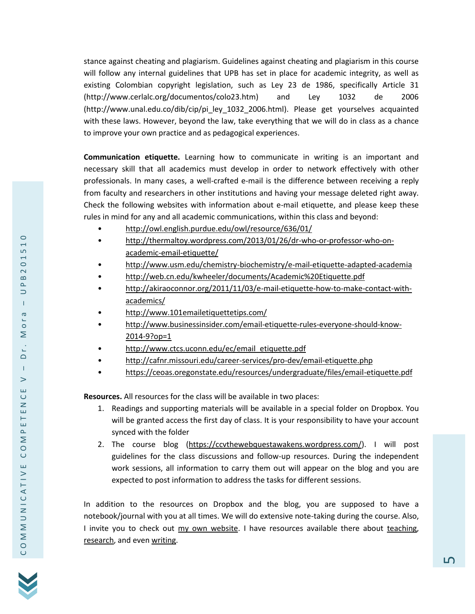stance against cheating and plagiarism. Guidelines against cheating and plagiarism in this course will follow any internal guidelines that UPB has set in place for academic integrity, as well as existing Colombian copyright legislation, such as Ley 23 de 1986, specifically Article 31 (http://www.cerlalc.org/documentos/colo23.htm) and Ley 1032 de 2006 (http://www.unal.edu.co/dib/cip/pi\_ley\_1032\_2006.html). Please get yourselves acquainted with these laws. However, beyond the law, take everything that we will do in class as a chance to improve your own practice and as pedagogical experiences.

**Communication etiquette.** Learning how to communicate in writing is an important and necessary skill that all academics must develop in order to network effectively with other professionals. In many cases, a well-crafted e-mail is the difference between receiving a reply from faculty and researchers in other institutions and having your message deleted right away. Check the following websites with information about e-mail etiquette, and please keep these rules in mind for any and all academic communications, within this class and beyond:

- <http://owl.english.purdue.edu/owl/resource/636/01/>
- [http://thermaltoy.wordpress.com/2013/01/26/dr-who-or-professor-who-on](http://thermaltoy.wordpress.com/2013/01/26/dr-who-or-professor-who-on-academic-email-etiquette/)[academic-email-etiquette/](http://thermaltoy.wordpress.com/2013/01/26/dr-who-or-professor-who-on-academic-email-etiquette/)
- <http://www.usm.edu/chemistry-biochemistry/e-mail-etiquette-adapted-academia>
- <http://web.cn.edu/kwheeler/documents/Academic%20Etiquette.pdf>
- [http://akiraoconnor.org/2011/11/03/e-mail-etiquette-how-to-make-contact-with](http://akiraoconnor.org/2011/11/03/e-mail-etiquette-how-to-make-contact-with-academics/)[academics/](http://akiraoconnor.org/2011/11/03/e-mail-etiquette-how-to-make-contact-with-academics/)
- <http://www.101emailetiquettetips.com/>
- [http://www.businessinsider.com/email-etiquette-rules-everyone-should-know-](http://www.businessinsider.com/email-etiquette-rules-everyone-should-know-2014-9?op=1)[2014-9?op=1](http://www.businessinsider.com/email-etiquette-rules-everyone-should-know-2014-9?op=1)
- [http://www.ctcs.uconn.edu/ec/email\\_etiquette.pdf](http://www.ctcs.uconn.edu/ec/email_etiquette.pdf)
- <http://cafnr.missouri.edu/career-services/pro-dev/email-etiquette.php>
- <https://ceoas.oregonstate.edu/resources/undergraduate/files/email-etiquette.pdf>

**Resources.** All resources for the class will be available in two places:

- 1. Readings and supporting materials will be available in a special folder on Dropbox. You will be granted access the first day of class. It is your responsibility to have your account synced with the folder
- 2. The course blog [\(https://ccvthewebquestawakens.wordpress.com/\)](https://ccvthewebquestawakens.wordpress.com/). I will post guidelines for the class discussions and follow-up resources. During the independent work sessions, all information to carry them out will appear on the blog and you are expected to post information to address the tasks for different sessions.

In addition to the resources on Dropbox and the blog, you are supposed to have a notebook/journal with you at all times. We will do extensive note-taking during the course. Also, I invite you to check out [my own website.](elpatronhimself.net) I have resources available there about [teaching,](http://www.elpatronhimself.net/teaching.html) [research,](http://www.elpatronhimself.net/research.html) and even [writing.](http://www.elpatronhimself.net/about-writing.html)

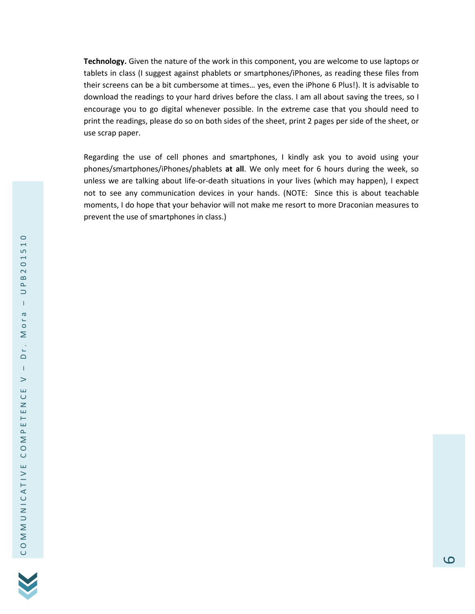**Technology.** Given the nature of the work in this component, you are welcome to use laptops or tablets in class (I suggest against phablets or smartphones/iPhones, as reading these files from their screens can be a bit cumbersome at times… yes, even the iPhone 6 Plus!). It is advisable to download the readings to your hard drives before the class. I am all about saving the trees, so I encourage you to go digital whenever possible. In the extreme case that you should need to print the readings, please do so on both sides of the sheet, print 2 pages per side of the sheet, or use scrap paper.

Regarding the use of cell phones and smartphones, I kindly ask you to avoid using your phones/smartphones/iPhones/phablets **at all**. We only meet for 6 hours during the week, so unless we are talking about life-or-death situations in your lives (which may happen), I expect not to see any communication devices in your hands. (NOTE: Since this is about teachable moments, I do hope that your behavior will not make me resort to more Draconian measures to prevent the use of smartphones in class.)

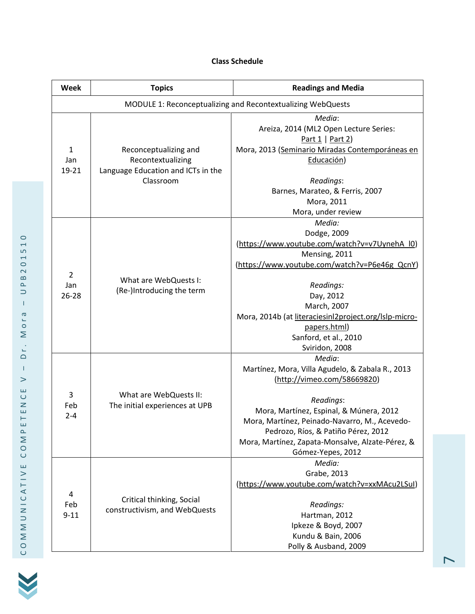# **Class Schedule**

| <b>Week</b>                                                 | <b>Topics</b>                                                                                 | <b>Readings and Media</b>                                                                                                                                                                                                                                                                                          |  |  |
|-------------------------------------------------------------|-----------------------------------------------------------------------------------------------|--------------------------------------------------------------------------------------------------------------------------------------------------------------------------------------------------------------------------------------------------------------------------------------------------------------------|--|--|
| MODULE 1: Reconceptualizing and Recontextualizing WebQuests |                                                                                               |                                                                                                                                                                                                                                                                                                                    |  |  |
| 1<br>Jan<br>19-21                                           | Reconceptualizing and<br>Recontextualizing<br>Language Education and ICTs in the<br>Classroom | Media:<br>Areiza, 2014 (ML2 Open Lecture Series:<br>Part $1   Part 2)$<br>Mora, 2013 (Seminario Miradas Contemporáneas en<br>Educación)<br>Readings:<br>Barnes, Marateo, & Ferris, 2007<br>Mora, 2011<br>Mora, under review                                                                                        |  |  |
| $\overline{2}$<br>Jan<br>26-28                              | What are WebQuests I:<br>(Re-)Introducing the term                                            | Media:<br>Dodge, 2009<br>(https://www.youtube.com/watch?v=v7UynehA l0)<br>Mensing, 2011<br>(https://www.youtube.com/watch?v=P6e46g_QcnY)<br>Readings:<br>Day, 2012<br>March, 2007<br>Mora, 2014b (at literaciesinl2project.org/lslp-micro-<br>papers.html)<br>Sanford, et al., 2010<br>Sviridon, 2008              |  |  |
| 3<br>Feb<br>$2 - 4$                                         | What are WebQuests II:<br>The initial experiences at UPB                                      | Media:<br>Martínez, Mora, Villa Agudelo, & Zabala R., 2013<br>(http://vimeo.com/58669820)<br>Readings:<br>Mora, Martínez, Espinal, & Múnera, 2012<br>Mora, Martínez, Peinado-Navarro, M., Acevedo-<br>Pedrozo, Ríos, & Patiño Pérez, 2012<br>Mora, Martínez, Zapata-Monsalve, Alzate-Pérez, &<br>Gómez-Yepes, 2012 |  |  |
| 4<br>Feb<br>$9 - 11$                                        | Critical thinking, Social<br>constructivism, and WebQuests                                    | Media:<br>Grabe, 2013<br>(https://www.youtube.com/watch?v=xxMAcu2LSuI)<br>Readings:<br>Hartman, 2012<br>Ipkeze & Boyd, 2007<br>Kundu & Bain, 2006<br>Polly & Ausband, 2009                                                                                                                                         |  |  |

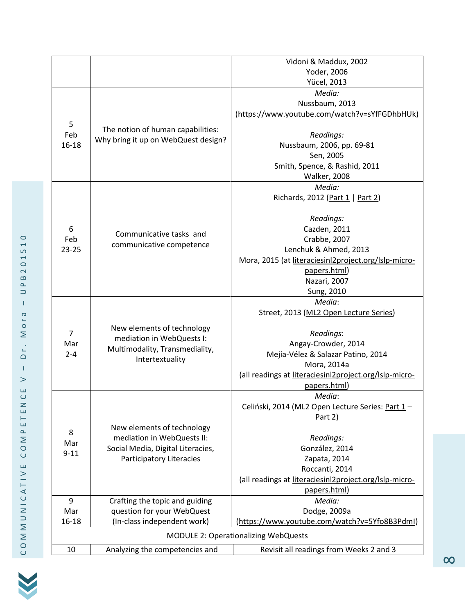|                                             |                                                                          | Vidoni & Maddux, 2002                                  |  |
|---------------------------------------------|--------------------------------------------------------------------------|--------------------------------------------------------|--|
|                                             |                                                                          | Yoder, 2006                                            |  |
|                                             |                                                                          | <b>Yücel, 2013</b>                                     |  |
|                                             |                                                                          | Media:                                                 |  |
|                                             |                                                                          | Nussbaum, 2013                                         |  |
|                                             |                                                                          | (https://www.youtube.com/watch?v=sYfFGDhbHUk)          |  |
| 5                                           | The notion of human capabilities:<br>Why bring it up on WebQuest design? |                                                        |  |
| Feb<br>$16 - 18$                            |                                                                          | Readings:                                              |  |
|                                             |                                                                          | Nussbaum, 2006, pp. 69-81                              |  |
|                                             |                                                                          | Sen, 2005                                              |  |
|                                             |                                                                          | Smith, Spence, & Rashid, 2011                          |  |
|                                             |                                                                          | <b>Walker, 2008</b>                                    |  |
|                                             |                                                                          | Media:                                                 |  |
|                                             |                                                                          | Richards, 2012 (Part 1   Part 2)                       |  |
|                                             |                                                                          |                                                        |  |
|                                             |                                                                          | Readings:                                              |  |
| 6                                           |                                                                          | Cazden, 2011                                           |  |
| Feb                                         | Communicative tasks and                                                  | Crabbe, 2007                                           |  |
| $23 - 25$                                   | communicative competence                                                 | Lenchuk & Ahmed, 2013                                  |  |
|                                             |                                                                          | Mora, 2015 (at literaciesinl2project.org/lslp-micro-   |  |
|                                             |                                                                          | papers.html)                                           |  |
|                                             |                                                                          |                                                        |  |
|                                             |                                                                          | Nazari, 2007                                           |  |
|                                             |                                                                          | Sung, 2010<br>Media:                                   |  |
|                                             | New elements of technology                                               | Street, 2013 (ML2 Open Lecture Series)                 |  |
|                                             |                                                                          |                                                        |  |
| $\overline{7}$                              |                                                                          | Readings:                                              |  |
| Mar                                         | mediation in WebQuests I:                                                | Angay-Crowder, 2014                                    |  |
| $2 - 4$                                     | Multimodality, Transmediality,                                           | Mejía-Vélez & Salazar Patino, 2014                     |  |
|                                             | Intertextuality                                                          | Mora, 2014a                                            |  |
|                                             |                                                                          | (all readings at literaciesinl2project.org/lslp-micro- |  |
|                                             |                                                                          | papers.html)                                           |  |
|                                             |                                                                          | Media:                                                 |  |
|                                             |                                                                          | Celiński, 2014 (ML2 Open Lecture Series: Part 1-       |  |
|                                             | New elements of technology                                               | Part 2)                                                |  |
|                                             |                                                                          |                                                        |  |
| 8                                           | mediation in WebQuests II:                                               | Readings:                                              |  |
| Mar                                         | Social Media, Digital Literacies,                                        | González, 2014                                         |  |
| $9 - 11$                                    | <b>Participatory Literacies</b>                                          | Zapata, 2014                                           |  |
|                                             |                                                                          | Roccanti, 2014                                         |  |
|                                             |                                                                          | (all readings at literaciesinl2project.org/lslp-micro- |  |
|                                             |                                                                          | papers.html)                                           |  |
| 9                                           | Crafting the topic and guiding                                           | Media:                                                 |  |
| Mar                                         | question for your WebQuest                                               | Dodge, 2009a                                           |  |
| 16-18                                       | (In-class independent work)                                              | (https://www.youtube.com/watch?v=5Yfo8B3Pdml)          |  |
| <b>MODULE 2: Operationalizing WebQuests</b> |                                                                          |                                                        |  |
| 10                                          | Analyzing the competencies and                                           | Revisit all readings from Weeks 2 and 3                |  |
|                                             |                                                                          |                                                        |  |

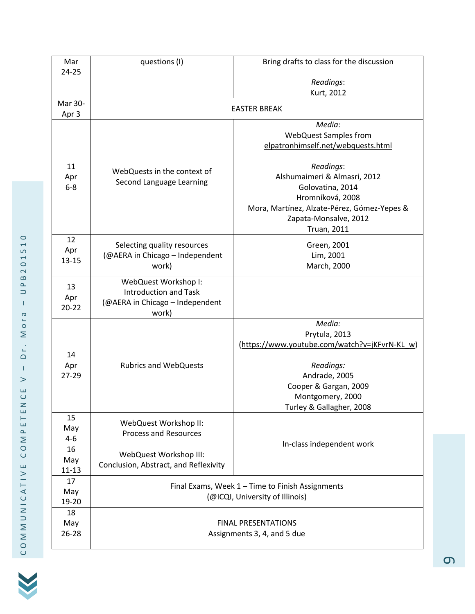| Mar                    | questions (I)                                                                                    | Bring drafts to class for the discussion                                                                                                                                        |
|------------------------|--------------------------------------------------------------------------------------------------|---------------------------------------------------------------------------------------------------------------------------------------------------------------------------------|
| 24-25                  |                                                                                                  | Readings:                                                                                                                                                                       |
|                        |                                                                                                  | Kurt, 2012                                                                                                                                                                      |
| Mar 30-<br>Apr 3       | <b>EASTER BREAK</b>                                                                              |                                                                                                                                                                                 |
|                        |                                                                                                  | Media:<br><b>WebQuest Samples from</b><br>elpatronhimself.net/webquests.html                                                                                                    |
| 11<br>Apr<br>$6-8$     | WebQuests in the context of<br>Second Language Learning                                          | Readings:<br>Alshumaimeri & Almasri, 2012<br>Golovatina, 2014<br>Hromníková, 2008<br>Mora, Martínez, Alzate-Pérez, Gómez-Yepes &<br>Zapata-Monsalve, 2012<br><b>Truan, 2011</b> |
| 12<br>Apr<br>$13 - 15$ | Selecting quality resources<br>(@AERA in Chicago - Independent<br>work)                          | Green, 2001<br>Lim, 2001<br>March, 2000                                                                                                                                         |
| 13<br>Apr<br>$20 - 22$ | WebQuest Workshop I:<br><b>Introduction and Task</b><br>(@AERA in Chicago - Independent<br>work) |                                                                                                                                                                                 |
| 14<br>Apr<br>27-29     | <b>Rubrics and WebQuests</b>                                                                     | Media:<br>Prytula, 2013<br>(https://www.youtube.com/watch?v=jKFvrN-KL_w)<br>Readings:<br>Andrade, 2005<br>Cooper & Gargan, 2009<br>Montgomery, 2000<br>Turley & Gallagher, 2008 |
| 15<br>May<br>$4 - 6$   | WebQuest Workshop II:<br><b>Process and Resources</b>                                            | In-class independent work                                                                                                                                                       |
| 16<br>May<br>$11 - 13$ | WebQuest Workshop III:<br>Conclusion, Abstract, and Reflexivity                                  |                                                                                                                                                                                 |
| 17<br>May<br>19-20     | Final Exams, Week 1 - Time to Finish Assignments<br>(@ICQI, University of Illinois)              |                                                                                                                                                                                 |
| 18<br>May<br>26-28     | <b>FINAL PRESENTATIONS</b><br>Assignments 3, 4, and 5 due                                        |                                                                                                                                                                                 |

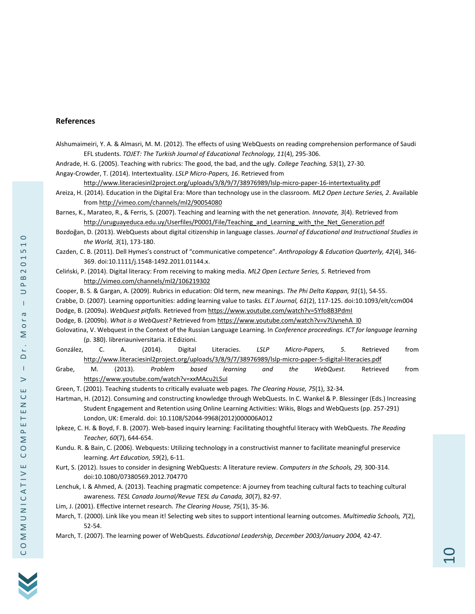#### **References**

Alshumaimeiri, Y. A. & Almasri, M. M. (2012). The effects of using WebQuests on reading comprehension performance of Saudi EFL students. *TOJET: The Turkish Journal of Educational Technology, 11*(4), 295-306.

Andrade, H. G. (2005). Teaching with rubrics: The good, the bad, and the ugly. *College Teaching, 53*(1), 27-30. Angay-Crowder, T. (2014). Intertextuality. *LSLP Micro-Papers, 16*. Retrieved from

<http://www.literaciesinl2project.org/uploads/3/8/9/7/38976989/lslp-micro-paper-16-intertextuality.pdf>

Areiza, H. (2014). Education in the Digital Era: More than technology use in the classroom. *ML2 Open Lecture Series, 2*. Available from<http://vimeo.com/channels/ml2/90054080>

Barnes, K., Marateo, R., & Ferris, S. (2007). Teaching and learning with the net generation. *Innovate, 3*(4). Retrieved from [http://uruguayeduca.edu.uy/Userfiles/P0001/File/Teaching\\_and\\_Learning\\_with\\_the\\_Net\\_Generation.pdf](http://uruguayeduca.edu.uy/Userfiles/P0001/File/Teaching_and_Learning_with_the_Net_Generation.pdf)

- Bozdoğan, D. (2013). WebQuests about digital citizenship in language classes. *Journal of Educational and Instructional Studies in the World, 3*(1), 173-180.
- Cazden, C. B. (2011). Dell Hymes's construct of "communicative competence". *Anthropology & Education Quarterly, 42*(4), 346- 369. doi:10.1111/j.1548-1492.2011.01144.x.
- Celiński, P. (2014). Digital literacy: From receiving to making media. *ML2 Open Lecture Series, 5.* Retrieved from <http://vimeo.com/channels/ml2/106219302>
- Cooper, B. S. & Gargan, A. (2009). Rubrics in education: Old term, new meanings. *The Phi Delta Kappan, 91*(1), 54-55.
- Crabbe, D. (2007). Learning opportunities: adding learning value to tasks. *ELT Journal, 61*(2), 117-125. doi:10.1093/elt/ccm004
- Dodge, B. (2009a). *WebQuest pitfalls.* Retrieved fro[m https://www.youtube.com/watch?v=5Yfo8B3PdmI](https://www.youtube.com/watch?v=5Yfo8B3PdmI)
- Dodge, B. (2009b). *What is a WebQuest?* Retrieved fro[m https://www.youtube.com/watch?v=v7UynehA\\_l0](https://www.youtube.com/watch?v=v7UynehA_l0)
- Golovatina, V. Webquest in the Context of the Russian Language Learning. In *Conference proceedings. ICT for language learning* (p. 380). libreriauniversitaria. it Edizioni.
- González, C. A. (2014). Digital Literacies. *LSLP Micro-Papers, 5.* Retrieved from <http://www.literaciesinl2project.org/uploads/3/8/9/7/38976989/lslp-micro-paper-5-digital-literacies.pdf>
- Grabe, M. (2013). *Problem based learning and the WebQuest.* Retrieved from <https://www.youtube.com/watch?v=xxMAcu2LSuI>
- Green, T. (2001). Teaching students to critically evaluate web pages. *The Clearing House, 75*(1), 32-34.
- Hartman, H. (2012). Consuming and constructing knowledge through WebQuests. In C. Wankel & P. Blessinger (Eds.) Increasing Student Engagement and Retention using Online Learning Activities: Wikis, Blogs and WebQuests (pp. 257-291) London, UK: Emerald. doi: 10.1108/S2044-9968(2012)000006A012
- Ipkeze, C. H. & Boyd, F. B. (2007). Web-based inquiry learning: Facilitating thoughtful literacy with WebQuests. *The Reading Teacher, 60*(7), 644-654.
- Kundu. R. & Bain, C. (2006). Webquests: Utilizing technology in a constructivist manner to facilitate meaningful preservice learning. *Art Education, 59*(2), 6-11.
- Kurt, S. (2012). Issues to consider in designing WebQuests: A literature review. *Computers in the Schools, 29,* 300-314. doi:10.1080/07380569.2012.704770
- Lenchuk, I. & Ahmed, A. (2013). Teaching pragmatic competence: A journey from teaching cultural facts to teaching cultural awareness. *TESL Canada Journal/Revue TESL du Canada, 30*(7), 82-97.
- Lim, J. (2001). Effective internet research. *The Clearing House, 75*(1), 35-36.
- March, T. (2000). Link like you mean it! Selecting web sites to support intentional learning outcomes. *Multimedia Schools, 7*(2), 52-54.
- March, T. (2007). The learning power of WebQuests. *Educational Leadership, December 2003/January 2004,* 42-47.



 $\circ$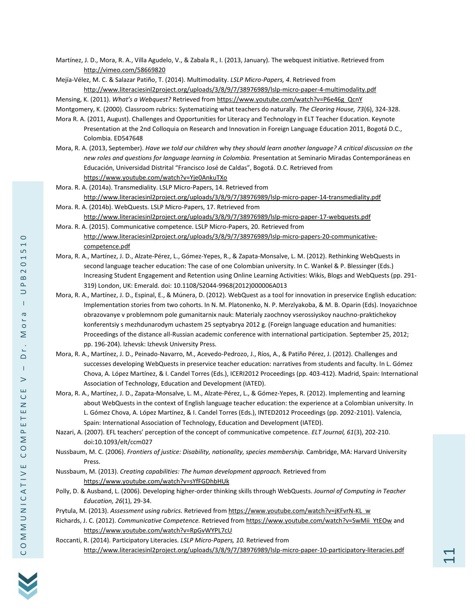Martínez, J. D., Mora, R. A., Villa Agudelo, V., & Zabala R., I. (2013, January). The webquest initiative. Retrieved from <http://vimeo.com/58669820>

Mejía-Vélez, M. C. & Salazar Patiño, T. (2014). Multimodality. *LSLP Micro-Papers, 4*. Retrieved from <http://www.literaciesinl2project.org/uploads/3/8/9/7/38976989/lslp-micro-paper-4-multimodality.pdf>

Mensing, K. (2011). *What's a Webquest?* Retrieved from [https://www.youtube.com/watch?v=P6e46g\\_QcnY](https://www.youtube.com/watch?v=P6e46g_QcnY)

Montgomery, K. (2000). Classroom rubrics: Systematizing what teachers do naturally. *The Clearing House, 73*(6), 324-328.

- Mora R. A. (2011, August). Challenges and Opportunities for Literacy and Technology in ELT Teacher Education. Keynote Presentation at the 2nd Colloquia on Research and Innovation in Foreign Language Education 2011, Bogotá D.C., Colombia. ED547648
- Mora, R. A. (2013, September). *Have we told our children* why *they should learn another language? A critical discussion on the new roles and questions for language learning in Colombia.* Presentation at Seminario Miradas Contemporáneas en Educación, Universidad Distrital "Francisco José de Caldas", Bogotá. D.C. Retrieved from <https://www.youtube.com/watch?v=Yje0AnkuTXo>
- Mora. R. A. (2014a). Transmediality. LSLP Micro-Papers, 14. Retrieved from <http://www.literaciesinl2project.org/uploads/3/8/9/7/38976989/lslp-micro-paper-14-transmediality.pdf>
- Mora. R. A. (2014b). WebQuests. LSLP Micro-Papers, 17. Retrieved from <http://www.literaciesinl2project.org/uploads/3/8/9/7/38976989/lslp-micro-paper-17-webquests.pdf>
- Mora. R. A. (2015). Communicative competence. LSLP Micro-Papers, 20. Retrieved from [http://www.literaciesinl2project.org/uploads/3/8/9/7/38976989/lslp-micro-papers-20-communicative](http://www.literaciesinl2project.org/uploads/3/8/9/7/38976989/lslp-micro-papers-20-communicative-competence.pdf)[competence.pdf](http://www.literaciesinl2project.org/uploads/3/8/9/7/38976989/lslp-micro-papers-20-communicative-competence.pdf)
- Mora, R. A., Martínez, J. D., Alzate-Pérez, L., Gómez-Yepes, R., & Zapata-Monsalve, L. M. (2012). Rethinking WebQuests in second language teacher education: The case of one Colombian university. In C. Wankel & P. Blessinger (Eds.) Increasing Student Engagement and Retention using Online Learning Activities: Wikis, Blogs and WebQuests (pp. 291- 319) London, UK: Emerald. doi: 10.1108/S2044-9968(2012)000006A013
- Mora, R. A., Martínez, J. D., Espinal, E., & Múnera, D. (2012). WebQuest as a tool for innovation in preservice English education: Implementation stories from two cohorts. In N. M. Platonenko, N. P. Merzlyakoba, & M. B. Oparin (Eds). Inoyazichnoe obrazovanye v problemnom pole gumanitarnix nauk: Materialy zaochnoy vserossiyskoy nauchno-praktichekoy konferentsiy s mezhdunarodym uchastem 25 septyabrya 2012 g. (Foreign language education and humanities: Proceedings of the distance all-Russian academic conference with international participation. September 25, 2012; pp. 196-204). Izhevsk: Izhevsk University Press.
- Mora, R. A., Martínez, J. D., Peinado-Navarro, M., Acevedo-Pedrozo, J., Ríos, A., & Patiño Pérez, J. (2012). Challenges and successes developing WebQuests in preservice teacher education: narratives from students and faculty. In L. Gómez Chova, A. López Martínez, & I. Candel Torres (Eds.), ICERI2012 Proceedings (pp. 403-412). Madrid, Spain: International Association of Technology, Education and Development (IATED).
- Mora, R. A., Martínez, J. D., Zapata-Monsalve, L. M., Alzate-Pérez, L., & Gómez-Yepes, R. (2012). Implementing and learning about WebQuests in the context of English language teacher education: the experience at a Colombian university. In L. Gómez Chova, A. López Martínez, & I. Candel Torres (Eds.), INTED2012 Proceedings (pp. 2092-2101). Valencia, Spain: International Association of Technology, Education and Development (IATED).
- Nazari, A. (2007). EFL teachers' perception of the concept of communicative competence. *ELT Journal, 61*(3), 202-210. doi:10.1093/elt/ccm027

Nussbaum, M. C. (2006). *Frontiers of justice: Disability, nationality, species membership.* Cambridge, MA: Harvard University Press.

- Nussbaum, M. (2013). *Creating capabilities: The human development approach.* Retrieved from <https://www.youtube.com/watch?v=sYfFGDhbHUk>
- Polly, D. & Ausband, L. (2006). Developing higher-order thinking skills through WebQuests. *Journal of Computing in Teacher Education, 26*(1), 29-34.
- Prytula, M. (2013). *Assessment using rubrics.* Retrieved fro[m https://www.youtube.com/watch?v=jKFvrN-KL\\_w](https://www.youtube.com/watch?v=jKFvrN-KL_w)
- Richards, J. C. (2012). *Communicative Competence*. Retrieved fro[m https://www.youtube.com/watch?v=SwMii\\_YtEOw](https://www.youtube.com/watch?v=SwMii_YtEOw) and <https://www.youtube.com/watch?v=RpGvWYPL7cU>
- Roccanti, R. (2014). Participatory Literacies. *LSLP Micro-Papers, 10.* Retrieved from <http://www.literaciesinl2project.org/uploads/3/8/9/7/38976989/lslp-micro-paper-10-participatory-literacies.pdf>



 $\cup$